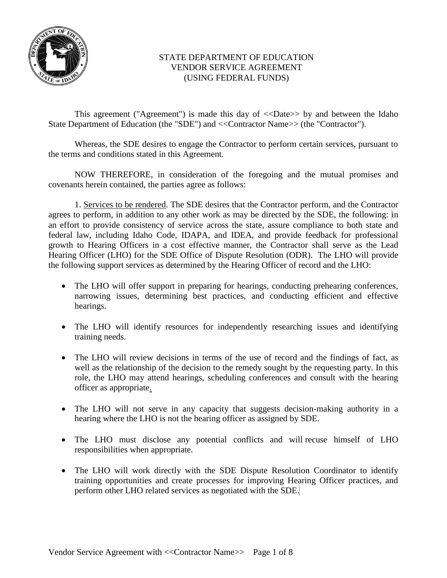

## STATE DEPARTMENT OF EDUCATION VENDOR SERVICE AGREEMENT (USING FEDERAL FUNDS)

This agreement ("Agreement") is made this day of <<Date>> by and between the Idaho State Department of Education (the "SDE") and <<Contractor Name>> (the "Contractor").

Whereas, the SDE desires to engage the Contractor to perform certain services, pursuant to the terms and conditions stated in this Agreement.

NOW THEREFORE, in consideration of the foregoing and the mutual promises and covenants herein contained, the parties agree as follows:

1. Services to be rendered. The SDE desires that the Contractor perform, and the Contractor agrees to perform, in addition to any other work as may be directed by the SDE, the following: in an effort to provide consistency of service across the state, assure compliance to both state and federal law, including Idaho Code, IDAPA, and IDEA, and provide feedback for professional growth to Hearing Officers in a cost effective manner, the Contractor shall serve as the Lead Hearing Officer (LHO) for the SDE Office of Dispute Resolution (ODR). The LHO will provide the following support services as determined by the Hearing Officer of record and the LHO:

- The LHO will offer support in preparing for hearings, conducting prehearing conferences, narrowing issues, determining best practices, and conducting efficient and effective hearings.
- The LHO will identify resources for independently researching issues and identifying training needs.
- The LHO will review decisions in terms of the use of record and the findings of fact, as well as the relationship of the decision to the remedy sought by the requesting party. In this role, the LHO may attend hearings, scheduling conferences and consult with the hearing officer as appropriate.
- The LHO will not serve in any capacity that suggests decision-making authority in a hearing where the LHO is not the hearing officer as assigned by SDE.
- The LHO must disclose any potential conflicts and will recuse himself of LHO responsibilities when appropriate.
- The LHO will work directly with the SDE Dispute Resolution Coordinator to identify training opportunities and create processes for improving Hearing Officer practices, and perform other LHO related services as negotiated with the SDE.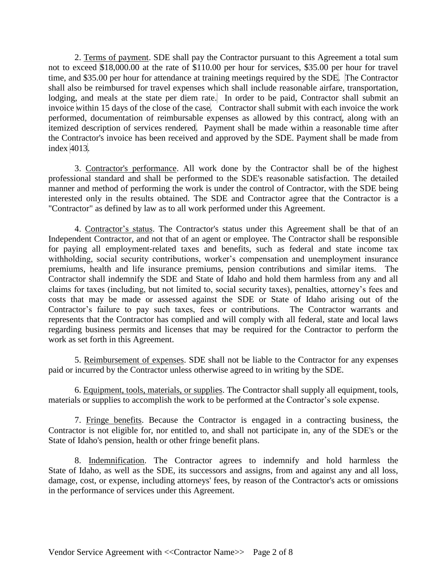2. Terms of payment. SDE shall pay the Contractor pursuant to this Agreement a total sum not to exceed \$18,000.00 at the rate of \$110.00 per hour for services, \$35.00 per hour for travel time, and \$35.00 per hour for attendance at training meetings required by the SDE. The Contractor shall also be reimbursed for travel expenses which shall include reasonable airfare, transportation, lodging, and meals at the state per diem rate. In order to be paid, Contractor shall submit an invoice within 15 days of the close of the case. Contractor shall submit with each invoice the work performed, documentation of reimbursable expenses as allowed by this contract, along with an itemized description of services rendered. Payment shall be made within a reasonable time after the Contractor's invoice has been received and approved by the SDE. Payment shall be made from index 4013.

3. Contractor's performance. All work done by the Contractor shall be of the highest professional standard and shall be performed to the SDE's reasonable satisfaction. The detailed manner and method of performing the work is under the control of Contractor, with the SDE being interested only in the results obtained. The SDE and Contractor agree that the Contractor is a "Contractor" as defined by law as to all work performed under this Agreement.

4. Contractor's status. The Contractor's status under this Agreement shall be that of an Independent Contractor, and not that of an agent or employee. The Contractor shall be responsible for paying all employment-related taxes and benefits, such as federal and state income tax withholding, social security contributions, worker's compensation and unemployment insurance premiums, health and life insurance premiums, pension contributions and similar items. The Contractor shall indemnify the SDE and State of Idaho and hold them harmless from any and all claims for taxes (including, but not limited to, social security taxes), penalties, attorney's fees and costs that may be made or assessed against the SDE or State of Idaho arising out of the Contractor's failure to pay such taxes, fees or contributions. The Contractor warrants and represents that the Contractor has complied and will comply with all federal, state and local laws regarding business permits and licenses that may be required for the Contractor to perform the work as set forth in this Agreement.

5. Reimbursement of expenses. SDE shall not be liable to the Contractor for any expenses paid or incurred by the Contractor unless otherwise agreed to in writing by the SDE.

6. Equipment, tools, materials, or supplies. The Contractor shall supply all equipment, tools, materials or supplies to accomplish the work to be performed at the Contractor's sole expense.

7. Fringe benefits. Because the Contractor is engaged in a contracting business, the Contractor is not eligible for, nor entitled to, and shall not participate in, any of the SDE's or the State of Idaho's pension, health or other fringe benefit plans.

8. Indemnification. The Contractor agrees to indemnify and hold harmless the State of Idaho, as well as the SDE, its successors and assigns, from and against any and all loss, damage, cost, or expense, including attorneys' fees, by reason of the Contractor's acts or omissions in the performance of services under this Agreement.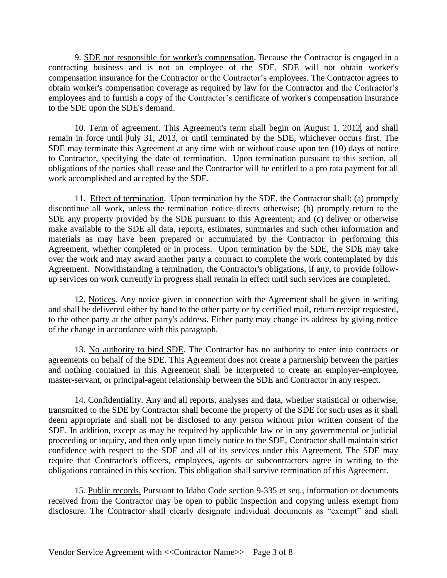9. SDE not responsible for worker's compensation. Because the Contractor is engaged in a contracting business and is not an employee of the SDE, SDE will not obtain worker's compensation insurance for the Contractor or the Contractor's employees. The Contractor agrees to obtain worker's compensation coverage as required by law for the Contractor and the Contractor's employees and to furnish a copy of the Contractor's certificate of worker's compensation insurance to the SDE upon the SDE's demand.

10. Term of agreement. This Agreement's term shall begin on August 1, 2012, and shall remain in force until July 31, 2013, or until terminated by the SDE, whichever occurs first. The SDE may terminate this Agreement at any time with or without cause upon ten (10) days of notice to Contractor, specifying the date of termination. Upon termination pursuant to this section, all obligations of the parties shall cease and the Contractor will be entitled to a pro rata payment for all work accomplished and accepted by the SDE.

11. Effect of termination. Upon termination by the SDE, the Contractor shall: (a) promptly discontinue all work, unless the termination notice directs otherwise; (b) promptly return to the SDE any property provided by the SDE pursuant to this Agreement; and (c) deliver or otherwise make available to the SDE all data, reports, estimates, summaries and such other information and materials as may have been prepared or accumulated by the Contractor in performing this Agreement, whether completed or in process. Upon termination by the SDE, the SDE may take over the work and may award another party a contract to complete the work contemplated by this Agreement. Notwithstanding a termination, the Contractor's obligations, if any, to provide followup services on work currently in progress shall remain in effect until such services are completed.

12. Notices. Any notice given in connection with the Agreement shall be given in writing and shall be delivered either by hand to the other party or by certified mail, return receipt requested, to the other party at the other party's address. Either party may change its address by giving notice of the change in accordance with this paragraph.

13. No authority to bind SDE. The Contractor has no authority to enter into contracts or agreements on behalf of the SDE. This Agreement does not create a partnership between the parties and nothing contained in this Agreement shall be interpreted to create an employer-employee, master-servant, or principal-agent relationship between the SDE and Contractor in any respect.

14. Confidentiality. Any and all reports, analyses and data, whether statistical or otherwise, transmitted to the SDE by Contractor shall become the property of the SDE for such uses as it shall deem appropriate and shall not be disclosed to any person without prior written consent of the SDE. In addition, except as may be required by applicable law or in any governmental or judicial proceeding or inquiry, and then only upon timely notice to the SDE, Contractor shall maintain strict confidence with respect to the SDE and all of its services under this Agreement. The SDE may require that Contractor's officers, employees, agents or subcontractors agree in writing to the obligations contained in this section. This obligation shall survive termination of this Agreement.

15. Public records. Pursuant to Idaho Code section 9-335 et seq., information or documents received from the Contractor may be open to public inspection and copying unless exempt from disclosure. The Contractor shall clearly designate individual documents as "exempt" and shall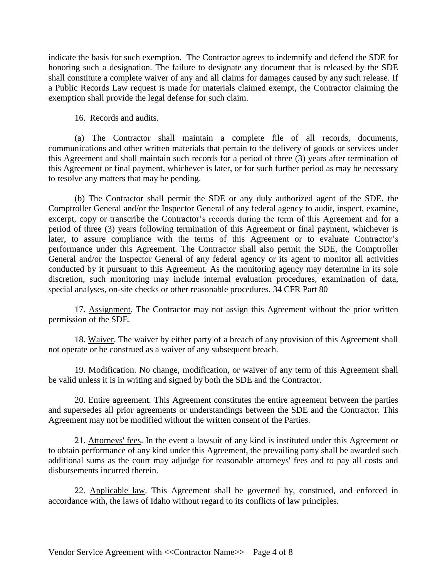indicate the basis for such exemption. The Contractor agrees to indemnify and defend the SDE for honoring such a designation. The failure to designate any document that is released by the SDE shall constitute a complete waiver of any and all claims for damages caused by any such release. If a Public Records Law request is made for materials claimed exempt, the Contractor claiming the exemption shall provide the legal defense for such claim.

## 16. Records and audits.

(a) The Contractor shall maintain a complete file of all records, documents, communications and other written materials that pertain to the delivery of goods or services under this Agreement and shall maintain such records for a period of three (3) years after termination of this Agreement or final payment, whichever is later, or for such further period as may be necessary to resolve any matters that may be pending.

(b) The Contractor shall permit the SDE or any duly authorized agent of the SDE, the Comptroller General and/or the Inspector General of any federal agency to audit, inspect, examine, excerpt, copy or transcribe the Contractor's records during the term of this Agreement and for a period of three (3) years following termination of this Agreement or final payment, whichever is later, to assure compliance with the terms of this Agreement or to evaluate Contractor's performance under this Agreement. The Contractor shall also permit the SDE, the Comptroller General and/or the Inspector General of any federal agency or its agent to monitor all activities conducted by it pursuant to this Agreement. As the monitoring agency may determine in its sole discretion, such monitoring may include internal evaluation procedures, examination of data, special analyses, on-site checks or other reasonable procedures. 34 CFR Part 80

17. Assignment. The Contractor may not assign this Agreement without the prior written permission of the SDE.

18. Waiver. The waiver by either party of a breach of any provision of this Agreement shall not operate or be construed as a waiver of any subsequent breach.

19. Modification. No change, modification, or waiver of any term of this Agreement shall be valid unless it is in writing and signed by both the SDE and the Contractor.

20. Entire agreement. This Agreement constitutes the entire agreement between the parties and supersedes all prior agreements or understandings between the SDE and the Contractor. This Agreement may not be modified without the written consent of the Parties.

21. Attorneys' fees. In the event a lawsuit of any kind is instituted under this Agreement or to obtain performance of any kind under this Agreement, the prevailing party shall be awarded such additional sums as the court may adjudge for reasonable attorneys' fees and to pay all costs and disbursements incurred therein.

22. Applicable law. This Agreement shall be governed by, construed, and enforced in accordance with, the laws of Idaho without regard to its conflicts of law principles.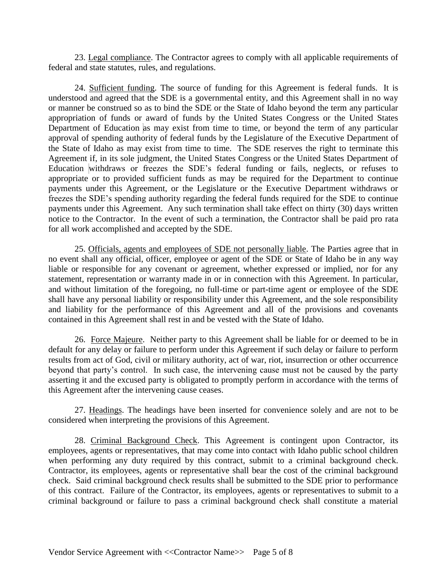23. Legal compliance. The Contractor agrees to comply with all applicable requirements of federal and state statutes, rules, and regulations.

24. Sufficient funding. The source of funding for this Agreement is federal funds. It is understood and agreed that the SDE is a governmental entity, and this Agreement shall in no way or manner be construed so as to bind the SDE or the State of Idaho beyond the term any particular appropriation of funds or award of funds by the United States Congress or the United States Department of Education as may exist from time to time, or beyond the term of any particular approval of spending authority of federal funds by the Legislature of the Executive Department of the State of Idaho as may exist from time to time. The SDE reserves the right to terminate this Agreement if, in its sole judgment, the United States Congress or the United States Department of Education withdraws or freezes the SDE's federal funding or fails, neglects, or refuses to appropriate or to provided sufficient funds as may be required for the Department to continue payments under this Agreement, or the Legislature or the Executive Department withdraws or freezes the SDE's spending authority regarding the federal funds required for the SDE to continue payments under this Agreement. Any such termination shall take effect on thirty (30) days written notice to the Contractor. In the event of such a termination, the Contractor shall be paid pro rata for all work accomplished and accepted by the SDE.

25. Officials, agents and employees of SDE not personally liable. The Parties agree that in no event shall any official, officer, employee or agent of the SDE or State of Idaho be in any way liable or responsible for any covenant or agreement, whether expressed or implied, nor for any statement, representation or warranty made in or in connection with this Agreement. In particular, and without limitation of the foregoing, no full-time or part-time agent or employee of the SDE shall have any personal liability or responsibility under this Agreement, and the sole responsibility and liability for the performance of this Agreement and all of the provisions and covenants contained in this Agreement shall rest in and be vested with the State of Idaho.

26. Force Majeure. Neither party to this Agreement shall be liable for or deemed to be in default for any delay or failure to perform under this Agreement if such delay or failure to perform results from act of God, civil or military authority, act of war, riot, insurrection or other occurrence beyond that party's control. In such case, the intervening cause must not be caused by the party asserting it and the excused party is obligated to promptly perform in accordance with the terms of this Agreement after the intervening cause ceases.

27. Headings. The headings have been inserted for convenience solely and are not to be considered when interpreting the provisions of this Agreement.

28. Criminal Background Check. This Agreement is contingent upon Contractor, its employees, agents or representatives, that may come into contact with Idaho public school children when performing any duty required by this contract, submit to a criminal background check. Contractor, its employees, agents or representative shall bear the cost of the criminal background check. Said criminal background check results shall be submitted to the SDE prior to performance of this contract. Failure of the Contractor, its employees, agents or representatives to submit to a criminal background or failure to pass a criminal background check shall constitute a material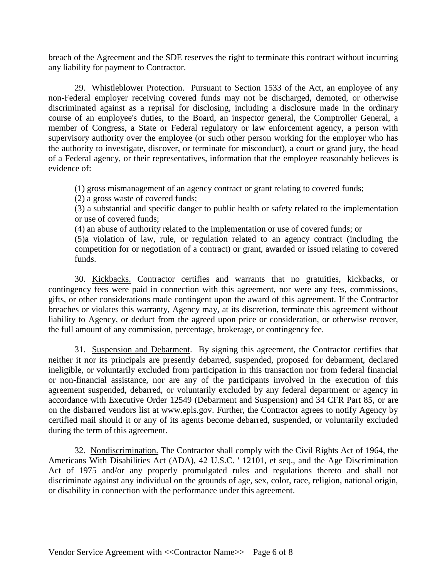breach of the Agreement and the SDE reserves the right to terminate this contract without incurring any liability for payment to Contractor.

29. Whistleblower Protection. Pursuant to Section 1533 of the Act, an employee of any non-Federal employer receiving covered funds may not be discharged, demoted, or otherwise discriminated against as a reprisal for disclosing, including a disclosure made in the ordinary course of an employee's duties, to the Board, an inspector general, the Comptroller General, a member of Congress, a State or Federal regulatory or law enforcement agency, a person with supervisory authority over the employee (or such other person working for the employer who has the authority to investigate, discover, or terminate for misconduct), a court or grand jury, the head of a Federal agency, or their representatives, information that the employee reasonably believes is evidence of:

(1) gross mismanagement of an agency contract or grant relating to covered funds;

(2) a gross waste of covered funds;

(3) a substantial and specific danger to public health or safety related to the implementation or use of covered funds;

(4) an abuse of authority related to the implementation or use of covered funds; or

(5)a violation of law, rule, or regulation related to an agency contract (including the competition for or negotiation of a contract) or grant, awarded or issued relating to covered funds.

30. Kickbacks. Contractor certifies and warrants that no gratuities, kickbacks, or contingency fees were paid in connection with this agreement, nor were any fees, commissions, gifts, or other considerations made contingent upon the award of this agreement. If the Contractor breaches or violates this warranty, Agency may, at its discretion, terminate this agreement without liability to Agency, or deduct from the agreed upon price or consideration, or otherwise recover, the full amount of any commission, percentage, brokerage, or contingency fee.

31. Suspension and Debarment. By signing this agreement, the Contractor certifies that neither it nor its principals are presently debarred, suspended, proposed for debarment, declared ineligible, or voluntarily excluded from participation in this transaction nor from federal financial or non-financial assistance, nor are any of the participants involved in the execution of this agreement suspended, debarred, or voluntarily excluded by any federal department or agency in accordance with Executive Order 12549 (Debarment and Suspension) and 34 CFR Part 85, or are on the disbarred vendors list at www.epls.gov. Further, the Contractor agrees to notify Agency by certified mail should it or any of its agents become debarred, suspended, or voluntarily excluded during the term of this agreement.

32. Nondiscrimination. The Contractor shall comply with the Civil Rights Act of 1964, the Americans With Disabilities Act (ADA), 42 U.S.C. ' 12101, et seq., and the Age Discrimination Act of 1975 and/or any properly promulgated rules and regulations thereto and shall not discriminate against any individual on the grounds of age, sex, color, race, religion, national origin, or disability in connection with the performance under this agreement.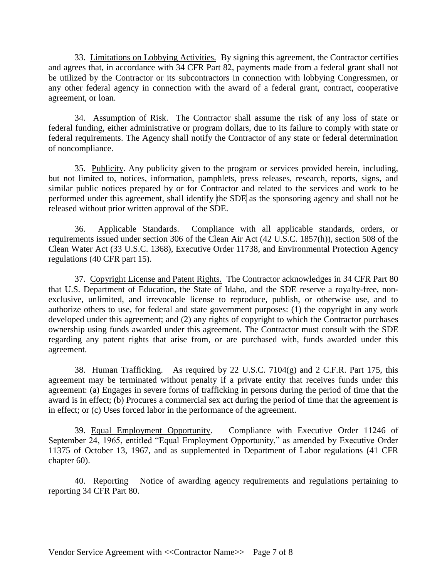33. Limitations on Lobbying Activities. By signing this agreement, the Contractor certifies and agrees that, in accordance with 34 CFR Part 82, payments made from a federal grant shall not be utilized by the Contractor or its subcontractors in connection with lobbying Congressmen, or any other federal agency in connection with the award of a federal grant, contract, cooperative agreement, or loan.

34. Assumption of Risk. The Contractor shall assume the risk of any loss of state or federal funding, either administrative or program dollars, due to its failure to comply with state or federal requirements. The Agency shall notify the Contractor of any state or federal determination of noncompliance.

35. Publicity. Any publicity given to the program or services provided herein, including, but not limited to, notices, information, pamphlets, press releases, research, reports, signs, and similar public notices prepared by or for Contractor and related to the services and work to be performed under this agreement, shall identify the SDE as the sponsoring agency and shall not be released without prior written approval of the SDE.

36. Applicable Standards. Compliance with all applicable standards, orders, or requirements issued under section 306 of the Clean Air Act (42 U.S.C. 1857(h)), section 508 of the Clean Water Act (33 U.S.C. 1368), Executive Order 11738, and Environmental Protection Agency regulations (40 CFR part 15).

37. Copyright License and Patent Rights. The Contractor acknowledges in 34 CFR Part 80 that U.S. Department of Education, the State of Idaho, and the SDE reserve a royalty-free, nonexclusive, unlimited, and irrevocable license to reproduce, publish, or otherwise use, and to authorize others to use, for federal and state government purposes: (1) the copyright in any work developed under this agreement; and (2) any rights of copyright to which the Contractor purchases ownership using funds awarded under this agreement. The Contractor must consult with the SDE regarding any patent rights that arise from, or are purchased with, funds awarded under this agreement.

38. Human Trafficking. As required by 22 U.S.C. 7104(g) and 2 C.F.R. Part 175, this agreement may be terminated without penalty if a private entity that receives funds under this agreement: (a) Engages in severe forms of trafficking in persons during the period of time that the award is in effect; (b) Procures a commercial sex act during the period of time that the agreement is in effect; or (c) Uses forced labor in the performance of the agreement.

39. Equal Employment Opportunity. Compliance with Executive Order 11246 of September 24, 1965, entitled "Equal Employment Opportunity," as amended by Executive Order 11375 of October 13, 1967, and as supplemented in Department of Labor regulations (41 CFR chapter 60).

40. Reporting Notice of awarding agency requirements and regulations pertaining to reporting 34 CFR Part 80.